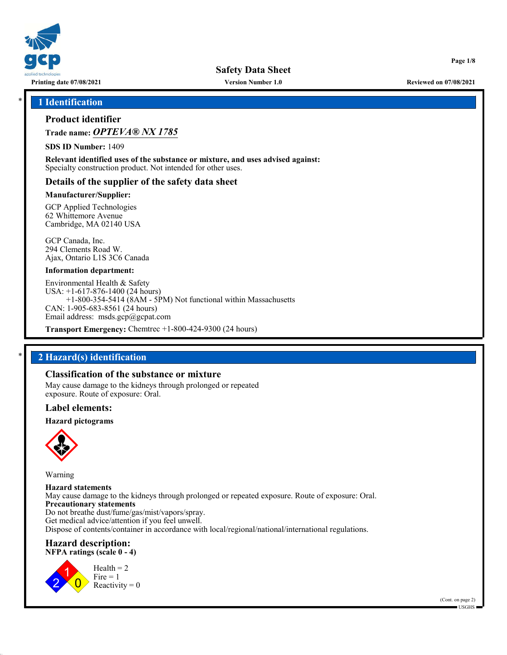

**Printing date 07/08/2021 Version Number 1.0 Reviewed on 07/08/2021**

**Page 1/8**

### \* **1 Identification**

### **Product identifier**

**Trade name:** *OPTEVA® NX 1785*

**SDS ID Number:** 1409

**Relevant identified uses of the substance or mixture, and uses advised against:** Specialty construction product. Not intended for other uses.

### **Details of the supplier of the safety data sheet**

#### **Manufacturer/Supplier:**

GCP Applied Technologies 62 Whittemore Avenue Cambridge, MA 02140 USA

GCP Canada, Inc. 294 Clements Road W. Ajax, Ontario L1S 3C6 Canada

#### **Information department:**

Environmental Health & Safety USA: +1-617-876-1400 (24 hours) +1-800-354-5414 (8AM - 5PM) Not functional within Massachusetts CAN: 1-905-683-8561 (24 hours) Email address: msds.gcp@gcpat.com

**Transport Emergency:** Chemtrec +1-800-424-9300 (24 hours)

### \* **2 Hazard(s) identification**

### **Classification of the substance or mixture**

May cause damage to the kidneys through prolonged or repeated exposure. Route of exposure: Oral.

#### **Label elements:**

#### **Hazard pictograms**



Warning

2

**Hazard statements** May cause damage to the kidneys through prolonged or repeated exposure. Route of exposure: Oral. **Precautionary statements** Do not breathe dust/fume/gas/mist/vapors/spray. Get medical advice/attention if you feel unwell. Dispose of contents/container in accordance with local/regional/national/international regulations.

#### **Hazard description: NFPA ratings (scale 0 - 4)**

1  $\overline{0}$  $Health = 2$  $Fire = 1$ Reactivity  $= 0$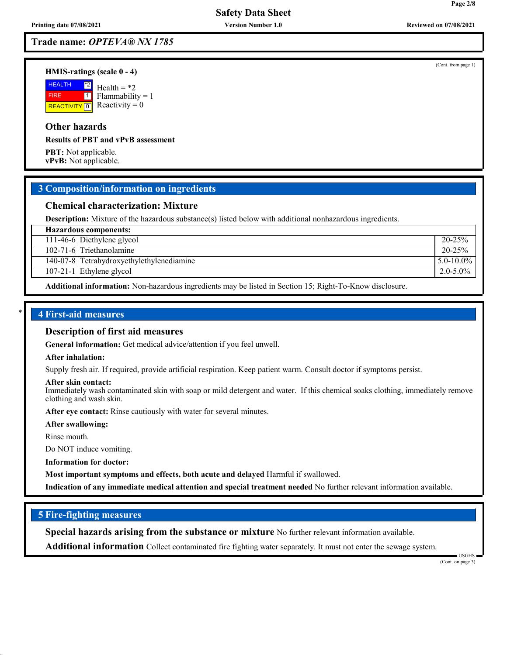**Trade name:** *OPTEVA® NX 1785*

#### **HMIS-ratings (scale 0 - 4)**

 HEALTH FIRE REACTIVITY  $\boxed{0}$  Reactivity = 0  $|2|$ 1 Health  $=$  \*2  $Flammability = 1$ 

### **Other hazards**

**Results of PBT and vPvB assessment**

**PBT:** Not applicable. **vPvB:** Not applicable.

### **3 Composition/information on ingredients**

### **Chemical characterization: Mixture**

**Description:** Mixture of the hazardous substance(s) listed below with additional nonhazardous ingredients.

**Hazardous components:**

111-46-6 Diethylene glycol 20-25%

102-71-6 Triethanolamine 20-25%

140-07-8 Tetrahydroxyethylethylenediamine 5.0-10.0%

107-21-1 Ethylene glycol 2.0-5.0%

**Additional information:** Non-hazardous ingredients may be listed in Section 15; Right-To-Know disclosure.

### \* **4 First-aid measures**

#### **Description of first aid measures**

**General information:** Get medical advice/attention if you feel unwell.

**After inhalation:**

Supply fresh air. If required, provide artificial respiration. Keep patient warm. Consult doctor if symptoms persist.

#### **After skin contact:**

Immediately wash contaminated skin with soap or mild detergent and water. If this chemical soaks clothing, immediately remove clothing and wash skin.

**After eye contact:** Rinse cautiously with water for several minutes.

**After swallowing:**

Rinse mouth.

Do NOT induce vomiting.

**Information for doctor:**

**Most important symptoms and effects, both acute and delayed** Harmful if swallowed.

**Indication of any immediate medical attention and special treatment needed** No further relevant information available.

### **5 Fire-fighting measures**

**Special hazards arising from the substance or mixture** No further relevant information available.

**Additional information** Collect contaminated fire fighting water separately. It must not enter the sewage system.

USGHS (Cont. on page 3)

(Cont. from page 1)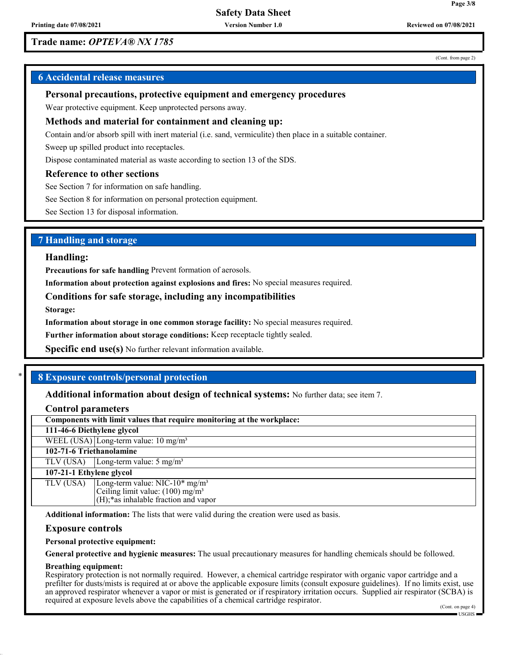### **Trade name:** *OPTEVA® NX 1785*

#### (Cont. from page 2)

### **6 Accidental release measures**

### **Personal precautions, protective equipment and emergency procedures**

Wear protective equipment. Keep unprotected persons away.

#### **Methods and material for containment and cleaning up:**

Contain and/or absorb spill with inert material (i.e. sand, vermiculite) then place in a suitable container.

Sweep up spilled product into receptacles.

Dispose contaminated material as waste according to section 13 of the SDS.

#### **Reference to other sections**

See Section 7 for information on safe handling.

See Section 8 for information on personal protection equipment.

See Section 13 for disposal information.

### **7 Handling and storage**

#### **Handling:**

**Precautions for safe handling** Prevent formation of aerosols.

**Information about protection against explosions and fires:** No special measures required.

#### **Conditions for safe storage, including any incompatibilities**

**Storage:**

**Information about storage in one common storage facility:** No special measures required.

**Further information about storage conditions:** Keep receptacle tightly sealed.

**Specific end use(s)** No further relevant information available.

### \* **8 Exposure controls/personal protection**

**Additional information about design of technical systems:** No further data; see item 7.

|  | <b>Control parameters</b> |
|--|---------------------------|
|--|---------------------------|

**Components with limit values that require monitoring at the workplace:**

### **111-46-6 Diethylene glycol**

WEEL (USA) Long-term value:  $10 \text{ mg/m}^3$ 

**102-71-6 Triethanolamine**

TLV (USA)  $\vert$  Long-term value: 5 mg/m<sup>3</sup>

### **107-21-1 Ethylene glycol**

TLV (USA)  $\log$ -term value: NIC-10\* mg/m<sup>3</sup> Ceiling limit value:  $(100)$  mg/m<sup>3</sup> (H);\*as inhalable fraction and vapor

**Additional information:** The lists that were valid during the creation were used as basis.

#### **Exposure controls**

#### **Personal protective equipment:**

**General protective and hygienic measures:** The usual precautionary measures for handling chemicals should be followed.

#### **Breathing equipment:**

Respiratory protection is not normally required. However, a chemical cartridge respirator with organic vapor cartridge and a prefilter for dusts/mists is required at or above the applicable exposure limits (consult exposure guidelines). If no limits exist, use an approved respirator whenever a vapor or mist is generated or if respiratory irritation occurs. Supplied air respirator (SCBA) is required at exposure levels above the capabilities of a chemical cartridge respirator. (Cont. on page 4)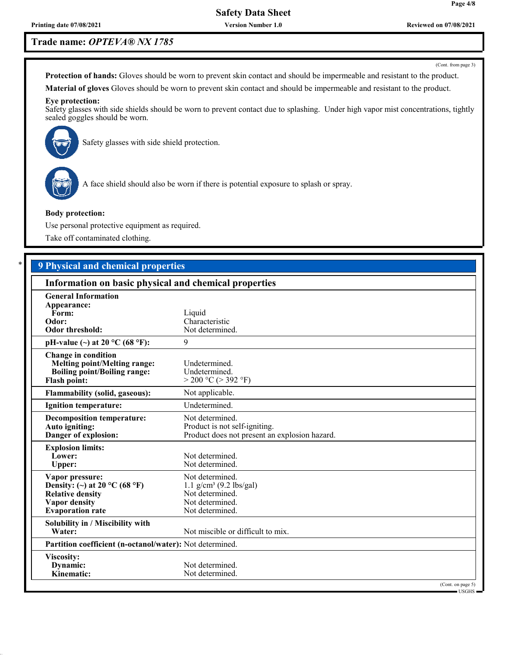### **Trade name:** *OPTEVA® NX 1785*

(Cont. from page 3)

**Page 4/8**

**Protection of hands:** Gloves should be worn to prevent skin contact and should be impermeable and resistant to the product.

**Material of gloves** Gloves should be worn to prevent skin contact and should be impermeable and resistant to the product.

#### **Eye protection:**

Safety glasses with side shields should be worn to prevent contact due to splashing. Under high vapor mist concentrations, tightly sealed goggles should be worn.



Safety glasses with side shield protection.



A face shield should also be worn if there is potential exposure to splash or spray.

#### **Body protection:**

Use personal protective equipment as required.

Take off contaminated clothing.

## \* **9 Physical and chemical properties**

| Information on basic physical and chemical properties                                                                          |                                                                                                                   |  |
|--------------------------------------------------------------------------------------------------------------------------------|-------------------------------------------------------------------------------------------------------------------|--|
| <b>General Information</b><br>Appearance:<br>Form:<br>Odor:<br><b>Odor threshold:</b>                                          | Liquid<br>Characteristic<br>Not determined.                                                                       |  |
| pH-value (~) at 20 $^{\circ}$ C (68 $^{\circ}$ F):                                                                             | 9                                                                                                                 |  |
| <b>Change in condition</b><br>Melting point/Melting range:<br><b>Boiling point/Boiling range:</b><br><b>Flash point:</b>       | Undetermined.<br>Undetermined.<br>$>$ 200 °C ( $>$ 392 °F)                                                        |  |
| <b>Flammability (solid, gaseous):</b>                                                                                          | Not applicable.                                                                                                   |  |
| Ignition temperature:                                                                                                          | Undetermined.                                                                                                     |  |
| <b>Decomposition temperature:</b><br>Auto igniting:<br>Danger of explosion:                                                    | Not determined.<br>Product is not self-igniting.<br>Product does not present an explosion hazard.                 |  |
| <b>Explosion limits:</b><br>Lower:<br><b>Upper:</b>                                                                            | Not determined.<br>Not determined.                                                                                |  |
| Vapor pressure:<br>Density: (~) at 20 °C (68 °F)<br><b>Relative density</b><br><b>Vapor density</b><br><b>Evaporation</b> rate | Not determined.<br>$1.1$ g/cm <sup>3</sup> (9.2 lbs/gal)<br>Not determined.<br>Not determined.<br>Not determined. |  |
| Solubility in / Miscibility with<br>Water:                                                                                     | Not miscible or difficult to mix.                                                                                 |  |
| Partition coefficient (n-octanol/water): Not determined.                                                                       |                                                                                                                   |  |
| Viscosity:<br>Dynamic:<br>Kinematic:                                                                                           | Not determined.<br>Not determined.                                                                                |  |
|                                                                                                                                | (Cont. on page 5)<br>■ USGHS ■                                                                                    |  |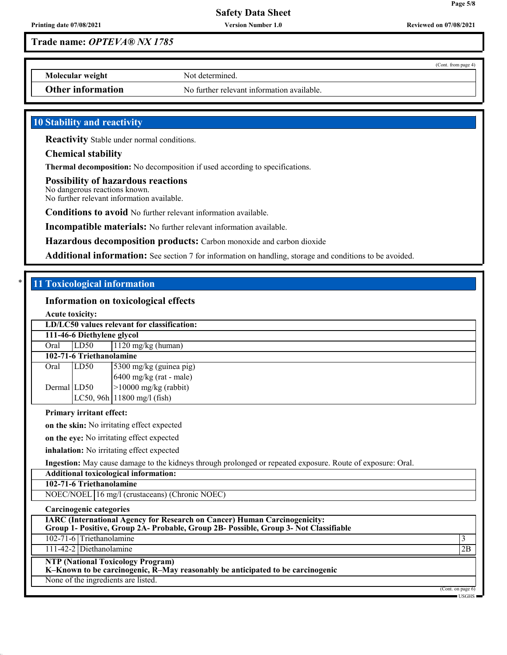**Trade name:** *OPTEVA® NX 1785*

(Cont. from page 4)

**Page 5/8**

**Molecular weight** Not determined.

**Other information** No further relevant information available.

### **10 Stability and reactivity**

**Reactivity** Stable under normal conditions.

#### **Chemical stability**

**Thermal decomposition:** No decomposition if used according to specifications.

**Possibility of hazardous reactions** No dangerous reactions known.

No further relevant information available.

**Conditions to avoid** No further relevant information available.

**Incompatible materials:** No further relevant information available.

**Hazardous decomposition products:** Carbon monoxide and carbon dioxide

**Additional information:** See section 7 for information on handling, storage and conditions to be avoided.

### \* **11 Toxicological information**

### **Information on toxicological effects**

| <b>Acute toxicity:</b> |                                 |                                                                                                                                                                          |                                                          |
|------------------------|---------------------------------|--------------------------------------------------------------------------------------------------------------------------------------------------------------------------|----------------------------------------------------------|
|                        |                                 | LD/LC50 values relevant for classification:                                                                                                                              |                                                          |
|                        | 111-46-6 Diethylene glycol      |                                                                                                                                                                          |                                                          |
| Oral                   | LD50                            | $1120$ mg/kg (human)                                                                                                                                                     |                                                          |
|                        | 102-71-6 Triethanolamine        |                                                                                                                                                                          |                                                          |
| Oral                   | LD50                            | 5300 mg/kg (guinea pig)                                                                                                                                                  |                                                          |
|                        |                                 | 6400 mg/kg (rat - male)                                                                                                                                                  |                                                          |
| Dermal LD50            |                                 | $>10000$ mg/kg (rabbit)                                                                                                                                                  |                                                          |
|                        |                                 | LC50, 96h   11800 mg/l (fish)                                                                                                                                            |                                                          |
|                        | <b>Primary irritant effect:</b> |                                                                                                                                                                          |                                                          |
|                        |                                 | on the skin: No irritating effect expected                                                                                                                               |                                                          |
|                        |                                 | on the eye: No irritating effect expected                                                                                                                                |                                                          |
|                        |                                 | inhalation: No irritating effect expected                                                                                                                                |                                                          |
|                        |                                 | Ingestion: May cause damage to the kidneys through prolonged or repeated exposure. Route of exposure: Oral.                                                              |                                                          |
|                        |                                 | Additional toxicological information:                                                                                                                                    |                                                          |
|                        | 102-71-6 Triethanolamine        |                                                                                                                                                                          |                                                          |
|                        |                                 | NOEC/NOEL 16 mg/l (crustaceans) (Chronic NOEC)                                                                                                                           |                                                          |
|                        | Carcinogenic categories         |                                                                                                                                                                          |                                                          |
|                        |                                 | <b>IARC</b> (International Agency for Research on Cancer) Human Carcinogenicity:<br>Group 1- Positive, Group 2A- Probable, Group 2B- Possible, Group 3- Not Classifiable |                                                          |
|                        | 102-71-6 Triethanolamine        |                                                                                                                                                                          | 3                                                        |
|                        | 111-42-2 Diethanolamine         |                                                                                                                                                                          | 2B                                                       |
|                        |                                 | <b>NTP (National Toxicology Program)</b><br>K-Known to be carcinogenic, $\breve{R}-M$ ay reasonably be anticipated to be carcinogenic                                    |                                                          |
|                        |                                 | None of the ingredients are listed.                                                                                                                                      |                                                          |
|                        |                                 |                                                                                                                                                                          | (Cont. on page 6)<br>$\blacksquare$ USGHS $\blacksquare$ |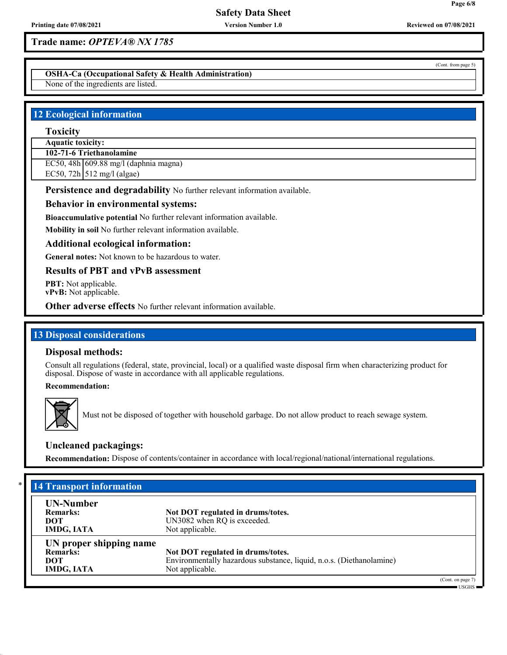**Trade name:** *OPTEVA® NX 1785*

**OSHA-Ca (Occupational Safety & Health Administration)**

None of the ingredients are listed.

### **12 Ecological information**

**Toxicity**

**Aquatic toxicity:**

**102-71-6 Triethanolamine**

EC50, 48h 609.88 mg/l (daphnia magna)

EC50, 72h  $\vert$  512 mg/l (algae)

**Persistence and degradability** No further relevant information available.

### **Behavior in environmental systems:**

**Bioaccumulative potential** No further relevant information available.

**Mobility in soil** No further relevant information available.

### **Additional ecological information:**

**General notes:** Not known to be hazardous to water.

**Results of PBT and vPvB assessment**

**PBT:** Not applicable. **vPvB:** Not applicable.

**Other adverse effects** No further relevant information available.

### **13 Disposal considerations**

### **Disposal methods:**

Consult all regulations (federal, state, provincial, local) or a qualified waste disposal firm when characterizing product for disposal. Dispose of waste in accordance with all applicable regulations.

**Recommendation:**



Must not be disposed of together with household garbage. Do not allow product to reach sewage system.

### **Uncleaned packagings:**

**Recommendation:** Dispose of contents/container in accordance with local/regional/national/international regulations.

# \* **14 Transport information**

| <b>UN-Number</b><br><b>Remarks:</b><br>DOT<br><b>IMDG, IATA</b>        | Not DOT regulated in drums/totes.<br>UN3082 when RQ is exceeded.<br>Not applicable.                                          |                            |
|------------------------------------------------------------------------|------------------------------------------------------------------------------------------------------------------------------|----------------------------|
| UN proper shipping name<br><b>Remarks:</b><br>DOT<br><b>IMDG, IATA</b> | Not DOT regulated in drums/totes.<br>Environmentally hazardous substance, liquid, n.o.s. (Diethanolamine)<br>Not applicable. |                            |
|                                                                        |                                                                                                                              | (Cont. on page 7)<br>TSGHS |

(Cont. from page 5)

**Page 6/8**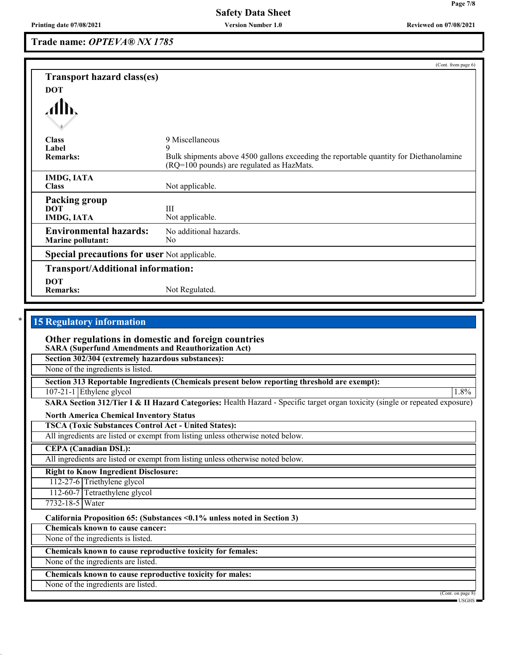**Trade name:** *OPTEVA® NX 1785*

| <b>Transport hazard class(es)</b>                         | (Cont. from page 6)                                                                                                                        |
|-----------------------------------------------------------|--------------------------------------------------------------------------------------------------------------------------------------------|
| <b>DOT</b>                                                |                                                                                                                                            |
|                                                           |                                                                                                                                            |
| <b>Class</b>                                              | 9 Miscellaneous                                                                                                                            |
| Label<br><b>Remarks:</b>                                  | 9<br>Bulk shipments above 4500 gallons exceeding the reportable quantity for Diethanolamine<br>$(RQ=100$ pounds) are regulated as HazMats. |
| <b>IMDG, IATA</b><br><b>Class</b>                         | Not applicable.                                                                                                                            |
| <b>Packing group</b><br><b>DOT</b><br><b>IMDG, IATA</b>   | Ш<br>Not applicable.                                                                                                                       |
| <b>Environmental hazards:</b><br><b>Marine pollutant:</b> | No additional hazards.<br>No                                                                                                               |
| <b>Special precautions for user Not applicable.</b>       |                                                                                                                                            |
| <b>Transport/Additional information:</b>                  |                                                                                                                                            |
| <b>DOT</b><br><b>Remarks:</b>                             | Not Regulated.                                                                                                                             |

| Other regulations in domestic and foreign countries                                                                          |                                                                              |
|------------------------------------------------------------------------------------------------------------------------------|------------------------------------------------------------------------------|
| <b>SARA (Superfund Amendments and Reauthorization Act)</b>                                                                   |                                                                              |
| Section 302/304 (extremely hazardous substances):                                                                            |                                                                              |
| None of the ingredients is listed.                                                                                           |                                                                              |
| Section 313 Reportable Ingredients (Chemicals present below reporting threshold are exempt):                                 |                                                                              |
| $107-21-1$ Ethylene glycol                                                                                                   | 1.8%                                                                         |
| SARA Section 312/Tier I & II Hazard Categories: Health Hazard - Specific target organ toxicity (single or repeated exposure) |                                                                              |
| <b>North America Chemical Inventory Status</b>                                                                               |                                                                              |
| <b>TSCA (Toxic Substances Control Act - United States):</b>                                                                  |                                                                              |
| All ingredients are listed or exempt from listing unless otherwise noted below.                                              |                                                                              |
| <b>CEPA</b> (Canadian DSL):                                                                                                  |                                                                              |
| All ingredients are listed or exempt from listing unless otherwise noted below.                                              |                                                                              |
| <b>Right to Know Ingredient Disclosure:</b>                                                                                  |                                                                              |
| 112-27-6 Triethylene glycol                                                                                                  |                                                                              |
| 112-60-7 Tetraethylene glycol                                                                                                |                                                                              |
| 7732-18-5 Water                                                                                                              |                                                                              |
| California Proposition 65: (Substances <0.1% unless noted in Section 3)                                                      |                                                                              |
| <b>Chemicals known to cause cancer:</b>                                                                                      |                                                                              |
| None of the ingredients is listed.                                                                                           |                                                                              |
| Chemicals known to cause reproductive toxicity for females:                                                                  |                                                                              |
| None of the ingredients are listed.                                                                                          |                                                                              |
| Chemicals known to cause reproductive toxicity for males:                                                                    |                                                                              |
| None of the ingredients are listed.                                                                                          |                                                                              |
|                                                                                                                              | (Cont. on page 8)<br>$\overline{\phantom{a}}$ USGHS $\overline{\phantom{a}}$ |